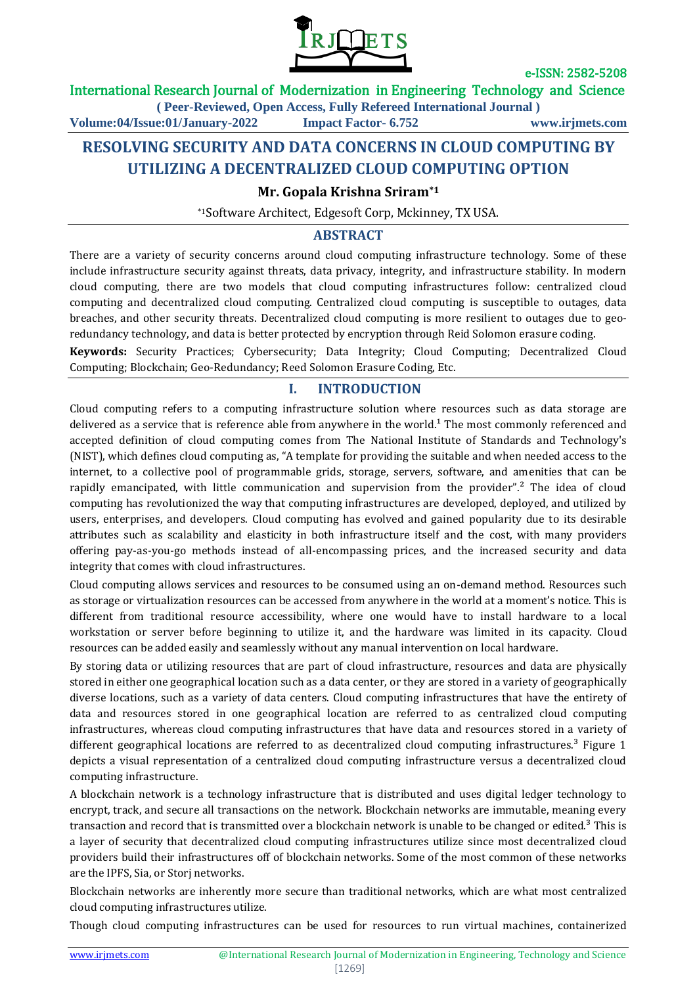

# International Research Journal of Modernization in Engineering Technology and Science

**( Peer-Reviewed, Open Access, Fully Refereed International Journal )**

**Volume:04/Issue:01/January-2022 Impact Factor- 6.752 www.irjmets.com**

# **RESOLVING SECURITY AND DATA CONCERNS IN CLOUD COMPUTING BY UTILIZING A DECENTRALIZED CLOUD COMPUTING OPTION**

**Mr. Gopala Krishna Sriram\*1**

\*1Software Architect, Edgesoft Corp, Mckinney, TX USA.

### **ABSTRACT**

There are a variety of security concerns around cloud computing infrastructure technology. Some of these include infrastructure security against threats, data privacy, integrity, and infrastructure stability. In modern cloud computing, there are two models that cloud computing infrastructures follow: centralized cloud computing and decentralized cloud computing. Centralized cloud computing is susceptible to outages, data breaches, and other security threats. Decentralized cloud computing is more resilient to outages due to georedundancy technology, and data is better protected by encryption through Reid Solomon erasure coding.

**Keywords:** Security Practices; Cybersecurity; Data Integrity; Cloud Computing; Decentralized Cloud Computing; Blockchain; Geo-Redundancy; Reed Solomon Erasure Coding, Etc.

### **I. INTRODUCTION**

Cloud computing refers to a computing infrastructure solution where resources such as data storage are delivered as a service that is reference able from anywhere in the world.<sup>1</sup> The most commonly referenced and accepted definition of cloud computing comes from The National Institute of Standards and Technology's (NIST), which defines cloud computing as, "A template for providing the suitable and when needed access to the internet, to a collective pool of programmable grids, storage, servers, software, and amenities that can be rapidly emancipated, with little communication and supervision from the provider".<sup>2</sup> The idea of cloud computing has revolutionized the way that computing infrastructures are developed, deployed, and utilized by users, enterprises, and developers. Cloud computing has evolved and gained popularity due to its desirable attributes such as scalability and elasticity in both infrastructure itself and the cost, with many providers offering pay-as-you-go methods instead of all-encompassing prices, and the increased security and data integrity that comes with cloud infrastructures.

Cloud computing allows services and resources to be consumed using an on-demand method. Resources such as storage or virtualization resources can be accessed from anywhere in the world at a moment's notice. This is different from traditional resource accessibility, where one would have to install hardware to a local workstation or server before beginning to utilize it, and the hardware was limited in its capacity. Cloud resources can be added easily and seamlessly without any manual intervention on local hardware.

By storing data or utilizing resources that are part of cloud infrastructure, resources and data are physically stored in either one geographical location such as a data center, or they are stored in a variety of geographically diverse locations, such as a variety of data centers. Cloud computing infrastructures that have the entirety of data and resources stored in one geographical location are referred to as centralized cloud computing infrastructures, whereas cloud computing infrastructures that have data and resources stored in a variety of different geographical locations are referred to as decentralized cloud computing infrastructures.<sup>3</sup> Figure 1 depicts a visual representation of a centralized cloud computing infrastructure versus a decentralized cloud computing infrastructure.

A blockchain network is a technology infrastructure that is distributed and uses digital ledger technology to encrypt, track, and secure all transactions on the network. Blockchain networks are immutable, meaning every transaction and record that is transmitted over a blockchain network is unable to be changed or edited.<sup>3</sup> This is a layer of security that decentralized cloud computing infrastructures utilize since most decentralized cloud providers build their infrastructures off of blockchain networks. Some of the most common of these networks are the IPFS, Sia, or Storj networks.

Blockchain networks are inherently more secure than traditional networks, which are what most centralized cloud computing infrastructures utilize.

Though cloud computing infrastructures can be used for resources to run virtual machines, containerized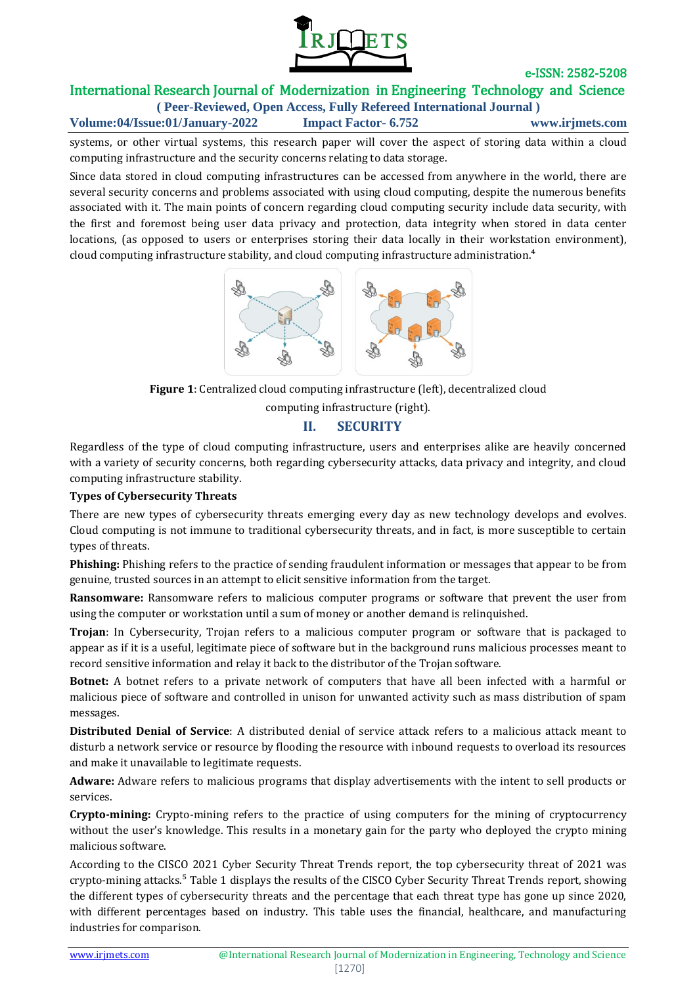

# International Research Journal of Modernization in Engineering Technology and Science

**( Peer-Reviewed, Open Access, Fully Refereed International Journal ) Volume:04/Issue:01/January-2022 Impact Factor- 6.752 www.irjmets.com**

systems, or other virtual systems, this research paper will cover the aspect of storing data within a cloud computing infrastructure and the security concerns relating to data storage.

Since data stored in cloud computing infrastructures can be accessed from anywhere in the world, there are several security concerns and problems associated with using cloud computing, despite the numerous benefits associated with it. The main points of concern regarding cloud computing security include data security, with the first and foremost being user data privacy and protection, data integrity when stored in data center locations, (as opposed to users or enterprises storing their data locally in their workstation environment), cloud computing infrastructure stability, and cloud computing infrastructure administration.<sup>4</sup>



**Figure 1**: Centralized cloud computing infrastructure (left), decentralized cloud

computing infrastructure (right).

# **II. SECURITY**

Regardless of the type of cloud computing infrastructure, users and enterprises alike are heavily concerned with a variety of security concerns, both regarding cybersecurity attacks, data privacy and integrity, and cloud computing infrastructure stability.

#### **Types of Cybersecurity Threats**

There are new types of cybersecurity threats emerging every day as new technology develops and evolves. Cloud computing is not immune to traditional cybersecurity threats, and in fact, is more susceptible to certain types of threats.

**Phishing:** Phishing refers to the practice of sending fraudulent information or messages that appear to be from genuine, trusted sources in an attempt to elicit sensitive information from the target.

**Ransomware:** Ransomware refers to malicious computer programs or software that prevent the user from using the computer or workstation until a sum of money or another demand is relinquished.

**Trojan**: In Cybersecurity, Trojan refers to a malicious computer program or software that is packaged to appear as if it is a useful, legitimate piece of software but in the background runs malicious processes meant to record sensitive information and relay it back to the distributor of the Trojan software.

**Botnet:** A botnet refers to a private network of computers that have all been infected with a harmful or malicious piece of software and controlled in unison for unwanted activity such as mass distribution of spam messages.

**Distributed Denial of Service**: A distributed denial of service attack refers to a malicious attack meant to disturb a network service or resource by flooding the resource with inbound requests to overload its resources and make it unavailable to legitimate requests.

**Adware:** Adware refers to malicious programs that display advertisements with the intent to sell products or services.

**Crypto-mining:** Crypto-mining refers to the practice of using computers for the mining of cryptocurrency without the user's knowledge. This results in a monetary gain for the party who deployed the crypto mining malicious software.

According to the CISCO 2021 Cyber Security Threat Trends report, the top cybersecurity threat of 2021 was crypto-mining attacks.<sup>5</sup> Table 1 displays the results of the CISCO Cyber Security Threat Trends report, showing the different types of cybersecurity threats and the percentage that each threat type has gone up since 2020, with different percentages based on industry. This table uses the financial, healthcare, and manufacturing industries for comparison.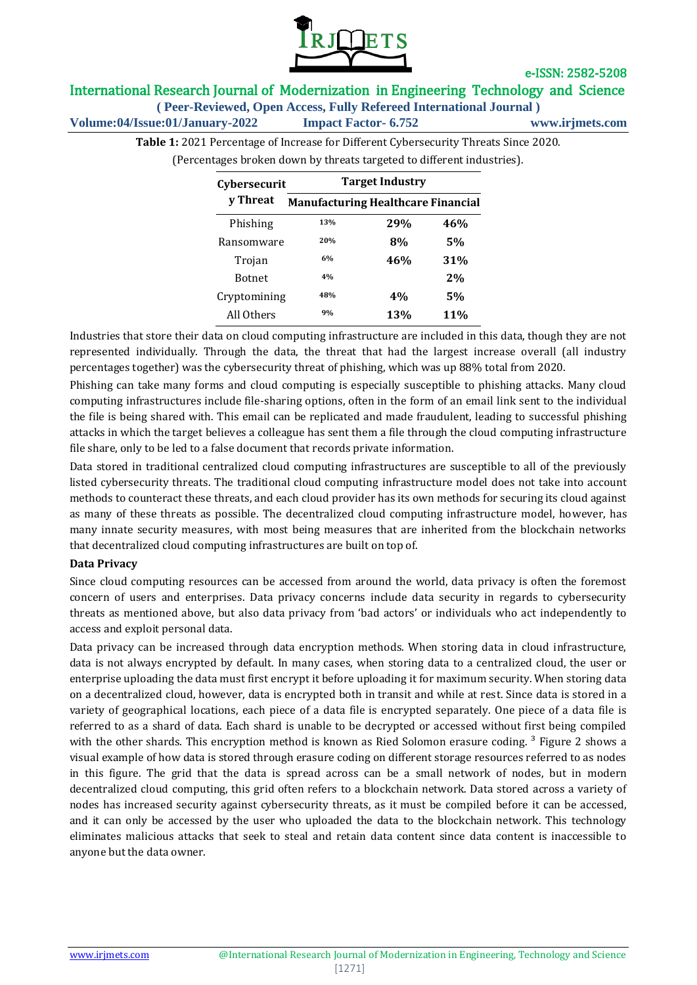

## International Research Journal of Modernization in Engineering Technology and Science

**( Peer-Reviewed, Open Access, Fully Refereed International Journal )**

**Volume:04/Issue:01/January-2022 Impact Factor- 6.752 www.irjmets.com**

**Table 1:** 2021 Percentage of Increase for Different Cybersecurity Threats Since 2020.

**Cybersecurit y Threat Target Industry Manufacturing Healthcare Financial** Phishing Ransomware Trojan Botnet Cryptomining All Others **13% 20% 6% 4% 48% 9% 29% 8% 46% 4% 13% 46% 5% 31% 2% 5% 11%**

(Percentages broken down by threats targeted to different industries).

Industries that store their data on cloud computing infrastructure are included in this data, though they are not represented individually. Through the data, the threat that had the largest increase overall (all industry percentages together) was the cybersecurity threat of phishing, which was up 88% total from 2020.

Phishing can take many forms and cloud computing is especially susceptible to phishing attacks. Many cloud computing infrastructures include file-sharing options, often in the form of an email link sent to the individual the file is being shared with. This email can be replicated and made fraudulent, leading to successful phishing attacks in which the target believes a colleague has sent them a file through the cloud computing infrastructure file share, only to be led to a false document that records private information.

Data stored in traditional centralized cloud computing infrastructures are susceptible to all of the previously listed cybersecurity threats. The traditional cloud computing infrastructure model does not take into account methods to counteract these threats, and each cloud provider has its own methods for securing its cloud against as many of these threats as possible. The decentralized cloud computing infrastructure model, however, has many innate security measures, with most being measures that are inherited from the blockchain networks that decentralized cloud computing infrastructures are built on top of.

#### **Data Privacy**

Since cloud computing resources can be accessed from around the world, data privacy is often the foremost concern of users and enterprises. Data privacy concerns include data security in regards to cybersecurity threats as mentioned above, but also data privacy from 'bad actors' or individuals who act independently to access and exploit personal data.

Data privacy can be increased through data encryption methods. When storing data in cloud infrastructure, data is not always encrypted by default. In many cases, when storing data to a centralized cloud, the user or enterprise uploading the data must first encrypt it before uploading it for maximum security. When storing data on a decentralized cloud, however, data is encrypted both in transit and while at rest. Since data is stored in a variety of geographical locations, each piece of a data file is encrypted separately. One piece of a data file is referred to as a shard of data. Each shard is unable to be decrypted or accessed without first being compiled with the other shards. This encryption method is known as Ried Solomon erasure coding.  $3$  Figure 2 shows a visual example of how data is stored through erasure coding on different storage resources referred to as nodes in this figure. The grid that the data is spread across can be a small network of nodes, but in modern decentralized cloud computing, this grid often refers to a blockchain network. Data stored across a variety of nodes has increased security against cybersecurity threats, as it must be compiled before it can be accessed, and it can only be accessed by the user who uploaded the data to the blockchain network. This technology eliminates malicious attacks that seek to steal and retain data content since data content is inaccessible to anyone but the data owner.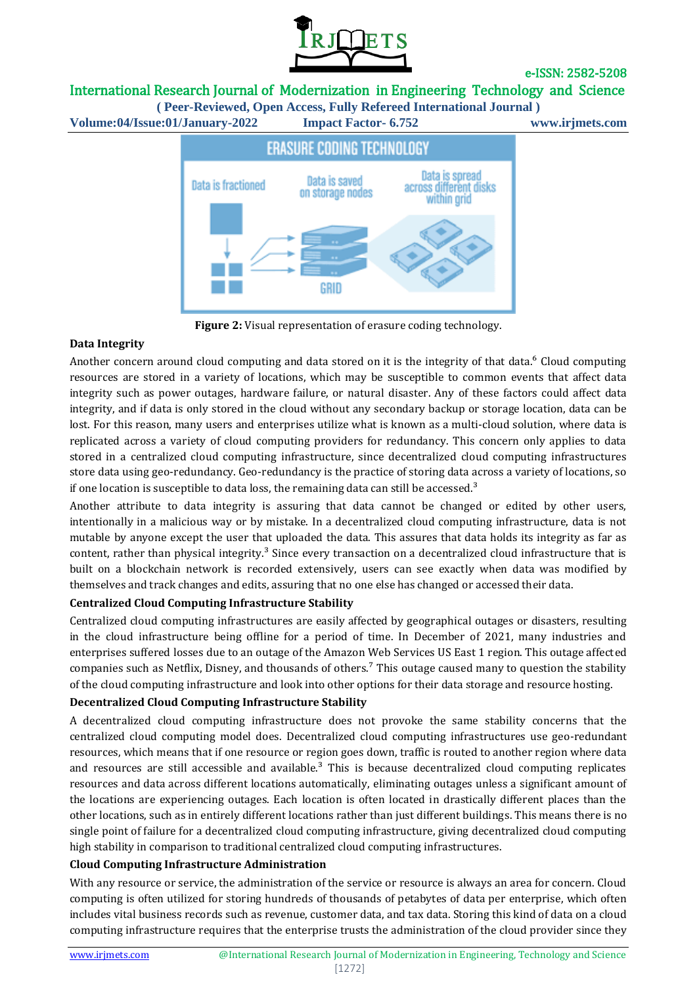

### International Research Journal of Modernization in Engineering Technology and Science

**( Peer-Reviewed, Open Access, Fully Refereed International Journal ) Volume:04/Issue:01/January-2022 Impact Factor- 6.752 www.irjmets.com**



**Figure 2:** Visual representation of erasure coding technology.

#### **Data Integrity**

Another concern around cloud computing and data stored on it is the integrity of that data.<sup>6</sup> Cloud computing resources are stored in a variety of locations, which may be susceptible to common events that affect data integrity such as power outages, hardware failure, or natural disaster. Any of these factors could affect data integrity, and if data is only stored in the cloud without any secondary backup or storage location, data can be lost. For this reason, many users and enterprises utilize what is known as a multi-cloud solution, where data is replicated across a variety of cloud computing providers for redundancy. This concern only applies to data stored in a centralized cloud computing infrastructure, since decentralized cloud computing infrastructures store data using geo-redundancy. Geo-redundancy is the practice of storing data across a variety of locations, so if one location is susceptible to data loss, the remaining data can still be accessed. $3$ 

Another attribute to data integrity is assuring that data cannot be changed or edited by other users, intentionally in a malicious way or by mistake. In a decentralized cloud computing infrastructure, data is not mutable by anyone except the user that uploaded the data. This assures that data holds its integrity as far as content, rather than physical integrity.<sup>3</sup> Since every transaction on a decentralized cloud infrastructure that is built on a blockchain network is recorded extensively, users can see exactly when data was modified by themselves and track changes and edits, assuring that no one else has changed or accessed their data.

#### **Centralized Cloud Computing Infrastructure Stability**

Centralized cloud computing infrastructures are easily affected by geographical outages or disasters, resulting in the cloud infrastructure being offline for a period of time. In December of 2021, many industries and enterprises suffered losses due to an outage of the Amazon Web Services US East 1 region. This outage affected companies such as Netflix, Disney, and thousands of others.<sup>7</sup> This outage caused many to question the stability of the cloud computing infrastructure and look into other options for their data storage and resource hosting.

#### **Decentralized Cloud Computing Infrastructure Stability**

A decentralized cloud computing infrastructure does not provoke the same stability concerns that the centralized cloud computing model does. Decentralized cloud computing infrastructures use geo-redundant resources, which means that if one resource or region goes down, traffic is routed to another region where data and resources are still accessible and available.<sup>3</sup> This is because decentralized cloud computing replicates resources and data across different locations automatically, eliminating outages unless a significant amount of the locations are experiencing outages. Each location is often located in drastically different places than the other locations, such as in entirely different locations rather than just different buildings. This means there is no single point of failure for a decentralized cloud computing infrastructure, giving decentralized cloud computing high stability in comparison to traditional centralized cloud computing infrastructures.

#### **Cloud Computing Infrastructure Administration**

With any resource or service, the administration of the service or resource is always an area for concern. Cloud computing is often utilized for storing hundreds of thousands of petabytes of data per enterprise, which often includes vital business records such as revenue, customer data, and tax data. Storing this kind of data on a cloud computing infrastructure requires that the enterprise trusts the administration of the cloud provider since they